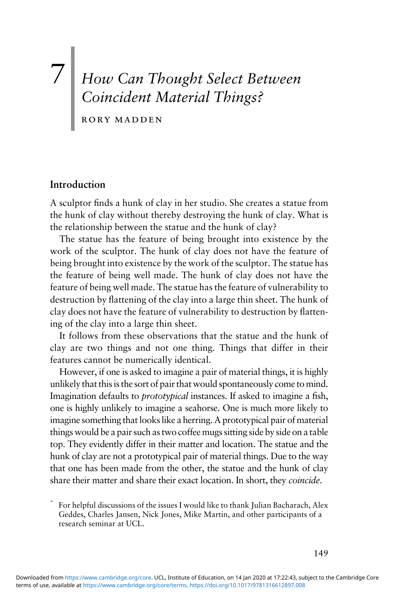# 7 How Can Thought Select Between Coincident Material Things?

rory madden

#### Introduction

A sculptor finds a hunk of clay in her studio. She creates a statue from the hunk of clay without thereby destroying the hunk of clay. What is the relationship between the statue and the hunk of clay?

The statue has the feature of being brought into existence by the work of the sculptor. The hunk of clay does not have the feature of being brought into existence by the work of the sculptor. The statue has the feature of being well made. The hunk of clay does not have the feature of being well made. The statue has the feature of vulnerability to destruction by flattening of the clay into a large thin sheet. The hunk of clay does not have the feature of vulnerability to destruction by flattening of the clay into a large thin sheet.

It follows from these observations that the statue and the hunk of clay are two things and not one thing. Things that differ in their features cannot be numerically identical.

However, if one is asked to imagine a pair of material things, it is highly unlikely that this is the sort of pair that would spontaneously come tomind. Imagination defaults to prototypical instances. If asked to imagine a fish, one is highly unlikely to imagine a seahorse. One is much more likely to imagine something that looks like a herring. A prototypical pair of material things would be a pair such as two coffee mugs sitting side by side on a table top. They evidently differ in their matter and location. The statue and the hunk of clay are not a prototypical pair of material things. Due to the way that one has been made from the other, the statue and the hunk of clay share their matter and share their exact location. In short, they coincide.

<sup>\*</sup> For helpful discussions of the issues I would like to thank Julian Bacharach, Alex Geddes, Charles Jansen, Nick Jones, Mike Martin, and other participants of a research seminar at UCL.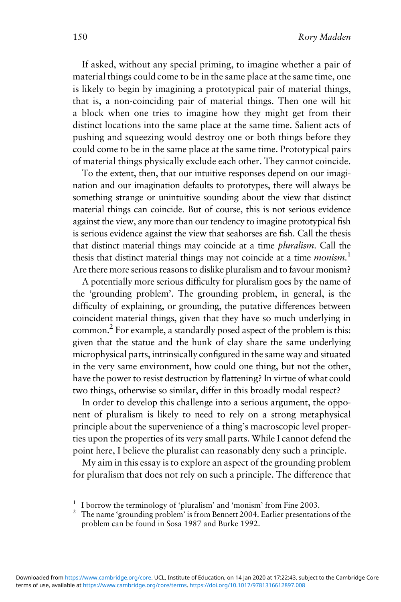If asked, without any special priming, to imagine whether a pair of material things could come to be in the same place at the same time, one is likely to begin by imagining a prototypical pair of material things, that is, a non-coinciding pair of material things. Then one will hit a block when one tries to imagine how they might get from their distinct locations into the same place at the same time. Salient acts of pushing and squeezing would destroy one or both things before they could come to be in the same place at the same time. Prototypical pairs of material things physically exclude each other. They cannot coincide.

To the extent, then, that our intuitive responses depend on our imagination and our imagination defaults to prototypes, there will always be something strange or unintuitive sounding about the view that distinct material things can coincide. But of course, this is not serious evidence against the view, any more than our tendency to imagine prototypical fish is serious evidence against the view that seahorses are fish. Call the thesis that distinct material things may coincide at a time pluralism. Call the thesis that distinct material things may not coincide at a time monism.<sup>1</sup> Are there more serious reasons to dislike pluralism and to favour monism?

A potentially more serious difficulty for pluralism goes by the name of the 'grounding problem'. The grounding problem, in general, is the difficulty of explaining, or grounding, the putative differences between coincident material things, given that they have so much underlying in common.2 For example, a standardly posed aspect of the problem is this: given that the statue and the hunk of clay share the same underlying microphysical parts, intrinsically configured in the same way and situated in the very same environment, how could one thing, but not the other, have the power to resist destruction by flattening? In virtue of what could two things, otherwise so similar, differ in this broadly modal respect?

In order to develop this challenge into a serious argument, the opponent of pluralism is likely to need to rely on a strong metaphysical principle about the supervenience of a thing's macroscopic level properties upon the properties of its very small parts. While I cannot defend the point here, I believe the pluralist can reasonably deny such a principle.

My aim in this essay is to explore an aspect of the grounding problem for pluralism that does not rely on such a principle. The difference that

<sup>&</sup>lt;sup>1</sup> I borrow the terminology of 'pluralism' and 'monism' from Fine 2003.<br><sup>2</sup> The name 'grounding problem' is from Bennett 2004. Earlier presentations of the problem can be found in Sosa 1987 and Burke 1992.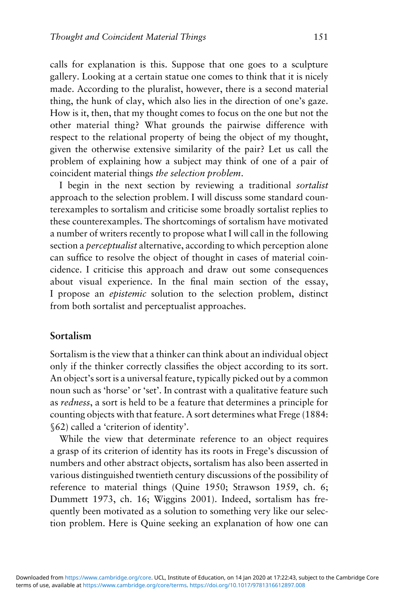calls for explanation is this. Suppose that one goes to a sculpture gallery. Looking at a certain statue one comes to think that it is nicely made. According to the pluralist, however, there is a second material thing, the hunk of clay, which also lies in the direction of one's gaze. How is it, then, that my thought comes to focus on the one but not the other material thing? What grounds the pairwise difference with respect to the relational property of being the object of my thought, given the otherwise extensive similarity of the pair? Let us call the problem of explaining how a subject may think of one of a pair of coincident material things the selection problem.

I begin in the next section by reviewing a traditional sortalist approach to the selection problem. I will discuss some standard counterexamples to sortalism and criticise some broadly sortalist replies to these counterexamples. The shortcomings of sortalism have motivated a number of writers recently to propose what I will call in the following section a *perceptualist* alternative, according to which perception alone can suffice to resolve the object of thought in cases of material coincidence. I criticise this approach and draw out some consequences about visual experience. In the final main section of the essay, I propose an epistemic solution to the selection problem, distinct from both sortalist and perceptualist approaches.

## Sortalism

Sortalism is the view that a thinker can think about an individual object only if the thinker correctly classifies the object according to its sort. An object's sort is a universal feature, typically picked out by a common noun such as 'horse' or 'set'. In contrast with a qualitative feature such as redness, a sort is held to be a feature that determines a principle for counting objects with that feature. A sort determines what Frege (1884: §62) called a 'criterion of identity'.

While the view that determinate reference to an object requires a grasp of its criterion of identity has its roots in Frege's discussion of numbers and other abstract objects, sortalism has also been asserted in various distinguished twentieth century discussions of the possibility of reference to material things (Quine 1950; Strawson 1959, ch. 6; Dummett 1973, ch. 16; Wiggins 2001). Indeed, sortalism has frequently been motivated as a solution to something very like our selection problem. Here is Quine seeking an explanation of how one can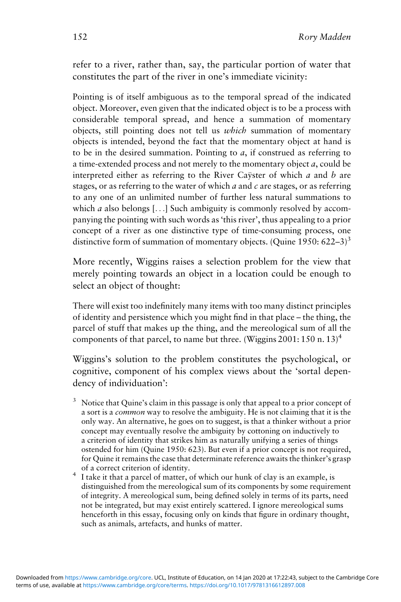refer to a river, rather than, say, the particular portion of water that constitutes the part of the river in one's immediate vicinity:

Pointing is of itself ambiguous as to the temporal spread of the indicated object. Moreover, even given that the indicated object is to be a process with considerable temporal spread, and hence a summation of momentary objects, still pointing does not tell us which summation of momentary objects is intended, beyond the fact that the momentary object at hand is to be in the desired summation. Pointing to  $a$ , if construed as referring to a time-extended process and not merely to the momentary object a, could be interpreted either as referring to the River Caÿster of which a and b are stages, or as referring to the water of which  $a$  and  $c$  are stages, or as referring to any one of an unlimited number of further less natural summations to which *a* also belongs [ $\ldots$ ] Such ambiguity is commonly resolved by accompanying the pointing with such words as 'this river', thus appealing to a prior concept of a river as one distinctive type of time-consuming process, one distinctive form of summation of momentary objects. (Quine 1950:  $622-3$ )<sup>3</sup>

More recently, Wiggins raises a selection problem for the view that merely pointing towards an object in a location could be enough to select an object of thought:

There will exist too indefinitely many items with too many distinct principles of identity and persistence which you might find in that place – the thing, the parcel of stuff that makes up the thing, and the mereological sum of all the components of that parcel, to name but three. (Wiggins 2001: 150 n. 13)<sup>4</sup>

Wiggins's solution to the problem constitutes the psychological, or cognitive, component of his complex views about the 'sortal dependency of individuation':

- Notice that Quine's claim in this passage is only that appeal to a prior concept of a sort is a common way to resolve the ambiguity. He is not claiming that it is the only way. An alternative, he goes on to suggest, is that a thinker without a prior concept may eventually resolve the ambiguity by cottoning on inductively to a criterion of identity that strikes him as naturally unifying a series of things ostended for him (Quine 1950: 623). But even if a prior concept is not required, for Quine it remains the case that determinate reference awaits the thinker's grasp
- of a correct criterion of identity. <sup>4</sup> I take it that a parcel of matter, of which our hunk of clay is an example, is distinguished from the mereological sum of its components by some requirement of integrity. A mereological sum, being defined solely in terms of its parts, need not be integrated, but may exist entirely scattered. I ignore mereological sums henceforth in this essay, focusing only on kinds that figure in ordinary thought, such as animals, artefacts, and hunks of matter.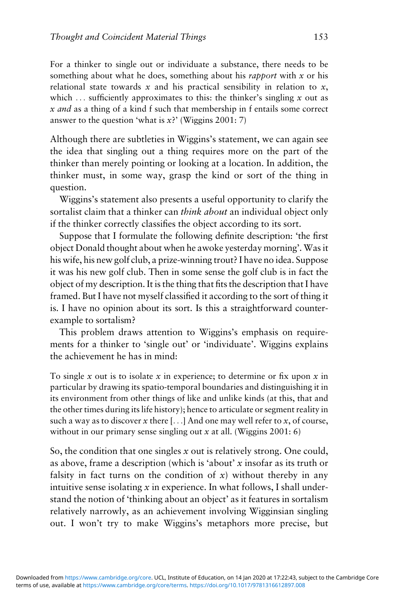For a thinker to single out or individuate a substance, there needs to be something about what he does, something about his *rapport* with  $x$  or his relational state towards  $x$  and his practical sensibility in relation to  $x$ , which  $\ldots$  sufficiently approximates to this: the thinker's singling x out as x and as a thing of a kind f such that membership in f entails some correct answer to the question 'what is  $x$ ?' (Wiggins 2001: 7)

Although there are subtleties in Wiggins's statement, we can again see the idea that singling out a thing requires more on the part of the thinker than merely pointing or looking at a location. In addition, the thinker must, in some way, grasp the kind or sort of the thing in question.

Wiggins's statement also presents a useful opportunity to clarify the sortalist claim that a thinker can think about an individual object only if the thinker correctly classifies the object according to its sort.

Suppose that I formulate the following definite description: 'the first object Donald thought about when he awoke yesterday morning'. Was it his wife, his new golf club, a prize-winning trout? I have no idea. Suppose it was his new golf club. Then in some sense the golf club is in fact the object of my description. It is the thing that fits the description that I have framed. But I have not myself classified it according to the sort of thing it is. I have no opinion about its sort. Is this a straightforward counterexample to sortalism?

This problem draws attention to Wiggins's emphasis on requirements for a thinker to 'single out' or 'individuate'. Wiggins explains the achievement he has in mind:

To single  $x$  out is to isolate  $x$  in experience; to determine or fix upon  $x$  in particular by drawing its spatio-temporal boundaries and distinguishing it in its environment from other things of like and unlike kinds (at this, that and the other times during its life history); hence to articulate or segment reality in such a way as to discover x there [ $\dots$ ] And one may well refer to x, of course, without in our primary sense singling out  $x$  at all. (Wiggins 2001: 6)

So, the condition that one singles  $x$  out is relatively strong. One could, as above, frame a description (which is 'about' x insofar as its truth or falsity in fact turns on the condition of  $x$ ) without thereby in any intuitive sense isolating  $x$  in experience. In what follows, I shall understand the notion of 'thinking about an object' as it features in sortalism relatively narrowly, as an achievement involving Wigginsian singling out. I won't try to make Wiggins's metaphors more precise, but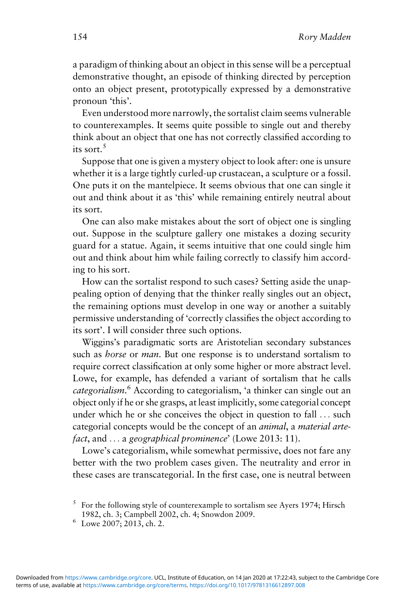a paradigm of thinking about an object in this sense will be a perceptual demonstrative thought, an episode of thinking directed by perception onto an object present, prototypically expressed by a demonstrative pronoun 'this'.

Even understood more narrowly, the sortalist claim seems vulnerable to counterexamples. It seems quite possible to single out and thereby think about an object that one has not correctly classified according to its sort  $^5$ 

Suppose that one is given a mystery object to look after: one is unsure whether it is a large tightly curled-up crustacean, a sculpture or a fossil. One puts it on the mantelpiece. It seems obvious that one can single it out and think about it as 'this' while remaining entirely neutral about its sort.

One can also make mistakes about the sort of object one is singling out. Suppose in the sculpture gallery one mistakes a dozing security guard for a statue. Again, it seems intuitive that one could single him out and think about him while failing correctly to classify him according to his sort.

How can the sortalist respond to such cases? Setting aside the unappealing option of denying that the thinker really singles out an object, the remaining options must develop in one way or another a suitably permissive understanding of 'correctly classifies the object according to its sort'. I will consider three such options.

Wiggins's paradigmatic sorts are Aristotelian secondary substances such as *horse* or *man*. But one response is to understand sortalism to require correct classification at only some higher or more abstract level. Lowe, for example, has defended a variant of sortalism that he calls categorialism.<sup>6</sup> According to categorialism, 'a thinker can single out an object only if he or she grasps, at least implicitly, some categorial concept under which he or she conceives the object in question to fall ... such categorial concepts would be the concept of an animal, a material artefact, and ... a geographical prominence' (Lowe 2013: 11).

Lowe's categorialism, while somewhat permissive, does not fare any better with the two problem cases given. The neutrality and error in these cases are transcategorial. In the first case, one is neutral between

<sup>5</sup> For the following style of counterexample to sortalism see Ayers 1974; Hirsch 1982, ch. 3; Campbell 2002, ch. 4; Snowdon 2009. <sup>6</sup> Lowe 2007; 2013, ch. 2.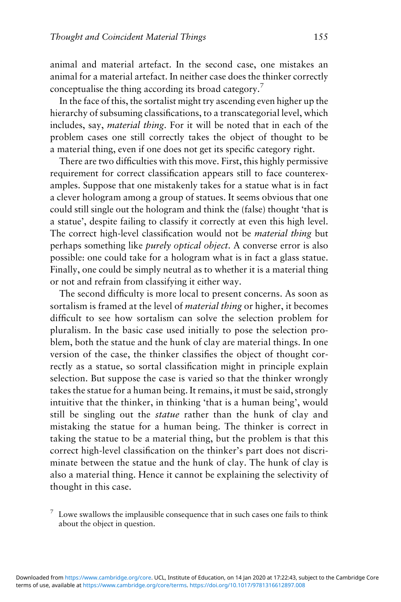animal and material artefact. In the second case, one mistakes an animal for a material artefact. In neither case does the thinker correctly conceptualise the thing according its broad category.7

In the face of this, the sortalist might try ascending even higher up the hierarchy of subsuming classifications, to a transcategorial level, which includes, say, material thing. For it will be noted that in each of the problem cases one still correctly takes the object of thought to be a material thing, even if one does not get its specific category right.

There are two difficulties with this move. First, this highly permissive requirement for correct classification appears still to face counterexamples. Suppose that one mistakenly takes for a statue what is in fact a clever hologram among a group of statues. It seems obvious that one could still single out the hologram and think the (false) thought 'that is a statue', despite failing to classify it correctly at even this high level. The correct high-level classification would not be *material thing* but perhaps something like purely optical object. A converse error is also possible: one could take for a hologram what is in fact a glass statue. Finally, one could be simply neutral as to whether it is a material thing or not and refrain from classifying it either way.

The second difficulty is more local to present concerns. As soon as sortalism is framed at the level of material thing or higher, it becomes difficult to see how sortalism can solve the selection problem for pluralism. In the basic case used initially to pose the selection problem, both the statue and the hunk of clay are material things. In one version of the case, the thinker classifies the object of thought correctly as a statue, so sortal classification might in principle explain selection. But suppose the case is varied so that the thinker wrongly takes the statue for a human being. It remains, it must be said, strongly intuitive that the thinker, in thinking 'that is a human being', would still be singling out the statue rather than the hunk of clay and mistaking the statue for a human being. The thinker is correct in taking the statue to be a material thing, but the problem is that this correct high-level classification on the thinker's part does not discriminate between the statue and the hunk of clay. The hunk of clay is also a material thing. Hence it cannot be explaining the selectivity of thought in this case.

 $7\,$  Lowe swallows the implausible consequence that in such cases one fails to think about the object in question.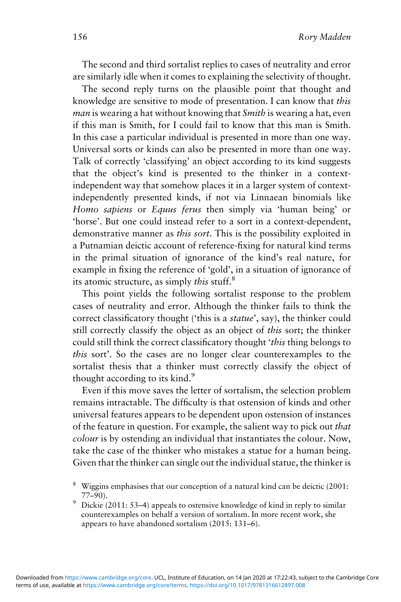The second and third sortalist replies to cases of neutrality and error are similarly idle when it comes to explaining the selectivity of thought.

The second reply turns on the plausible point that thought and knowledge are sensitive to mode of presentation. I can know that this man is wearing a hat without knowing that Smith is wearing a hat, even if this man is Smith, for I could fail to know that this man is Smith. In this case a particular individual is presented in more than one way. Universal sorts or kinds can also be presented in more than one way. Talk of correctly 'classifying' an object according to its kind suggests that the object's kind is presented to the thinker in a contextindependent way that somehow places it in a larger system of contextindependently presented kinds, if not via Linnaean binomials like Homo sapiens or Equus ferus then simply via 'human being' or 'horse'. But one could instead refer to a sort in a context-dependent, demonstrative manner as this sort. This is the possibility exploited in a Putnamian deictic account of reference-fixing for natural kind terms in the primal situation of ignorance of the kind's real nature, for example in fixing the reference of 'gold', in a situation of ignorance of its atomic structure, as simply this stuff.<sup>8</sup>

This point yields the following sortalist response to the problem cases of neutrality and error. Although the thinker fails to think the correct classificatory thought ('this is a statue', say), the thinker could still correctly classify the object as an object of *this* sort; the thinker could still think the correct classificatory thought 'this thing belongs to this sort'. So the cases are no longer clear counterexamples to the sortalist thesis that a thinker must correctly classify the object of thought according to its kind.<sup>9</sup>

Even if this move saves the letter of sortalism, the selection problem remains intractable. The difficulty is that ostension of kinds and other universal features appears to be dependent upon ostension of instances of the feature in question. For example, the salient way to pick out that colour is by ostending an individual that instantiates the colour. Now, take the case of the thinker who mistakes a statue for a human being. Given that the thinker can single out the individual statue, the thinker is

counterexamples on behalf a version of sortalism. In more recent work, she appears to have abandoned sortalism (2015: 131–6).

<sup>&</sup>lt;sup>8</sup> Wiggins emphasises that our conception of a natural kind can be deictic (2001: 77–90).<br><sup>9</sup> Dickie (2011: 53–4) appeals to ostensive knowledge of kind in reply to similar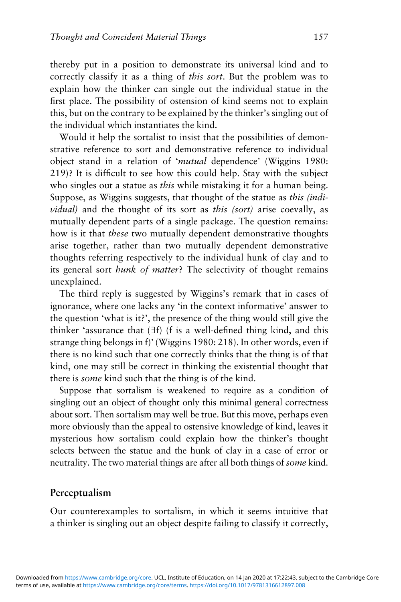thereby put in a position to demonstrate its universal kind and to correctly classify it as a thing of this sort. But the problem was to explain how the thinker can single out the individual statue in the first place. The possibility of ostension of kind seems not to explain this, but on the contrary to be explained by the thinker's singling out of the individual which instantiates the kind.

Would it help the sortalist to insist that the possibilities of demonstrative reference to sort and demonstrative reference to individual object stand in a relation of 'mutual dependence' (Wiggins 1980: 219)? It is difficult to see how this could help. Stay with the subject who singles out a statue as *this* while mistaking it for a human being. Suppose, as Wiggins suggests, that thought of the statue as this (individual) and the thought of its sort as this (sort) arise coevally, as mutually dependent parts of a single package. The question remains: how is it that these two mutually dependent demonstrative thoughts arise together, rather than two mutually dependent demonstrative thoughts referring respectively to the individual hunk of clay and to its general sort hunk of matter? The selectivity of thought remains unexplained.

The third reply is suggested by Wiggins's remark that in cases of ignorance, where one lacks any 'in the context informative' answer to the question 'what is it?', the presence of the thing would still give the thinker 'assurance that (∃f) (f is a well-defined thing kind, and this strange thing belongs in f)' (Wiggins 1980: 218). In other words, even if there is no kind such that one correctly thinks that the thing is of that kind, one may still be correct in thinking the existential thought that there is some kind such that the thing is of the kind.

Suppose that sortalism is weakened to require as a condition of singling out an object of thought only this minimal general correctness about sort. Then sortalism may well be true. But this move, perhaps even more obviously than the appeal to ostensive knowledge of kind, leaves it mysterious how sortalism could explain how the thinker's thought selects between the statue and the hunk of clay in a case of error or neutrality. The two material things are after all both things of some kind.

#### Perceptualism

Our counterexamples to sortalism, in which it seems intuitive that a thinker is singling out an object despite failing to classify it correctly,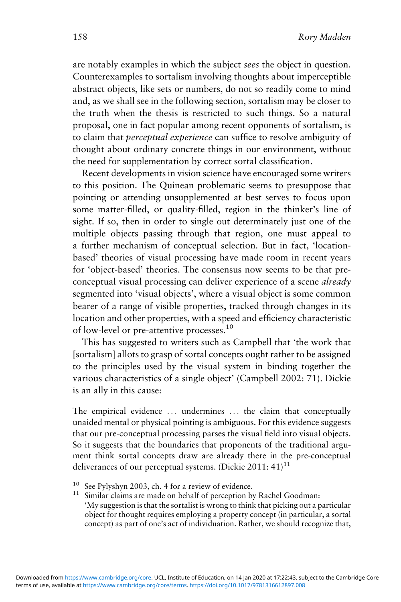are notably examples in which the subject sees the object in question. Counterexamples to sortalism involving thoughts about imperceptible abstract objects, like sets or numbers, do not so readily come to mind and, as we shall see in the following section, sortalism may be closer to the truth when the thesis is restricted to such things. So a natural proposal, one in fact popular among recent opponents of sortalism, is to claim that perceptual experience can suffice to resolve ambiguity of thought about ordinary concrete things in our environment, without the need for supplementation by correct sortal classification.

Recent developments in vision science have encouraged some writers to this position. The Quinean problematic seems to presuppose that pointing or attending unsupplemented at best serves to focus upon some matter-filled, or quality-filled, region in the thinker's line of sight. If so, then in order to single out determinately just one of the multiple objects passing through that region, one must appeal to a further mechanism of conceptual selection. But in fact, 'locationbased' theories of visual processing have made room in recent years for 'object-based' theories. The consensus now seems to be that preconceptual visual processing can deliver experience of a scene already segmented into 'visual objects', where a visual object is some common bearer of a range of visible properties, tracked through changes in its location and other properties, with a speed and efficiency characteristic of low-level or pre-attentive processes.<sup>10</sup>

This has suggested to writers such as Campbell that 'the work that [sortalism] allots to grasp of sortal concepts ought rather to be assigned to the principles used by the visual system in binding together the various characteristics of a single object' (Campbell 2002: 71). Dickie is an ally in this cause:

The empirical evidence ... undermines ... the claim that conceptually unaided mental or physical pointing is ambiguous. For this evidence suggests that our pre-conceptual processing parses the visual field into visual objects. So it suggests that the boundaries that proponents of the traditional argument think sortal concepts draw are already there in the pre-conceptual deliverances of our perceptual systems. (Dickie 2011:  $41$ )<sup>11</sup>

- 
- <sup>10</sup> See Pylyshyn 2003, ch. 4 for a review of evidence.<br><sup>11</sup> Similar claims are made on behalf of perception by Rachel Goodman: 'My suggestion is that the sortalist is wrong to think that picking out a particular object for thought requires employing a property concept (in particular, a sortal concept) as part of one's act of individuation. Rather, we should recognize that,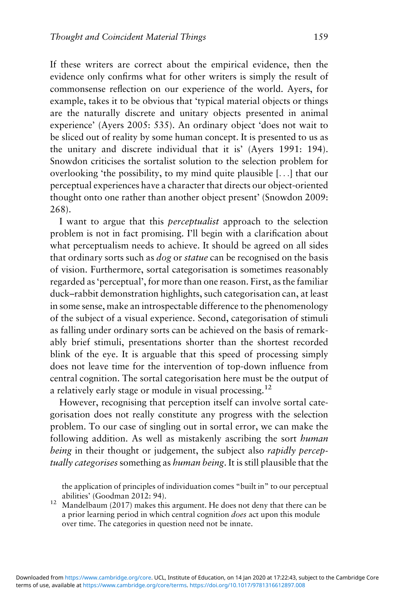If these writers are correct about the empirical evidence, then the evidence only confirms what for other writers is simply the result of commonsense reflection on our experience of the world. Ayers, for example, takes it to be obvious that 'typical material objects or things are the naturally discrete and unitary objects presented in animal experience' (Ayers 2005: 535). An ordinary object 'does not wait to be sliced out of reality by some human concept. It is presented to us as the unitary and discrete individual that it is' (Ayers 1991: 194). Snowdon criticises the sortalist solution to the selection problem for overlooking 'the possibility, to my mind quite plausible [...] that our perceptual experiences have a character that directs our object-oriented thought onto one rather than another object present' (Snowdon 2009: 268).

I want to argue that this perceptualist approach to the selection problem is not in fact promising. I'll begin with a clarification about what perceptualism needs to achieve. It should be agreed on all sides that ordinary sorts such as dog or statue can be recognised on the basis of vision. Furthermore, sortal categorisation is sometimes reasonably regarded as'perceptual', for more than one reason. First, as the familiar duck–rabbit demonstration highlights, such categorisation can, at least in some sense, make an introspectable difference to the phenomenology of the subject of a visual experience. Second, categorisation of stimuli as falling under ordinary sorts can be achieved on the basis of remarkably brief stimuli, presentations shorter than the shortest recorded blink of the eye. It is arguable that this speed of processing simply does not leave time for the intervention of top-down influence from central cognition. The sortal categorisation here must be the output of a relatively early stage or module in visual processing.<sup>12</sup>

However, recognising that perception itself can involve sortal categorisation does not really constitute any progress with the selection problem. To our case of singling out in sortal error, we can make the following addition. As well as mistakenly ascribing the sort *human* being in their thought or judgement, the subject also *rapidly percep*tually categorises something as human being. It is still plausible that the

the application of principles of individuation comes "built in" to our perceptual

<sup>12</sup> Mandelbaum (2017) makes this argument. He does not deny that there can be a prior learning period in which central cognition does act upon this module over time. The categories in question need not be innate.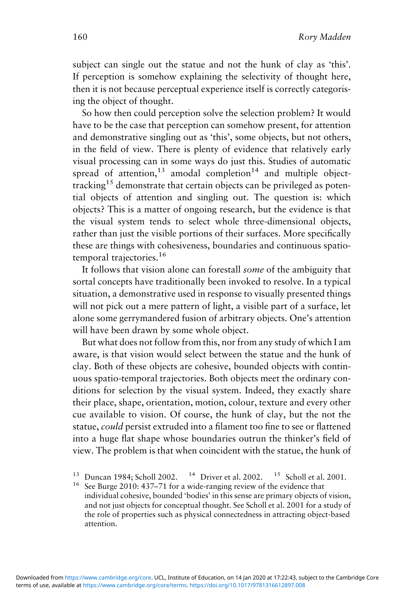subject can single out the statue and not the hunk of clay as 'this'. If perception is somehow explaining the selectivity of thought here, then it is not because perceptual experience itself is correctly categorising the object of thought.

So how then could perception solve the selection problem? It would have to be the case that perception can somehow present, for attention and demonstrative singling out as 'this', some objects, but not others, in the field of view. There is plenty of evidence that relatively early visual processing can in some ways do just this. Studies of automatic spread of attention, $13$  amodal completion $14$  and multiple objecttracking<sup>15</sup> demonstrate that certain objects can be privileged as potential objects of attention and singling out. The question is: which objects? This is a matter of ongoing research, but the evidence is that the visual system tends to select whole three-dimensional objects, rather than just the visible portions of their surfaces. More specifically these are things with cohesiveness, boundaries and continuous spatiotemporal trajectories.<sup>16</sup>

It follows that vision alone can forestall some of the ambiguity that sortal concepts have traditionally been invoked to resolve. In a typical situation, a demonstrative used in response to visually presented things will not pick out a mere pattern of light, a visible part of a surface, let alone some gerrymandered fusion of arbitrary objects. One's attention will have been drawn by some whole object.

But what does not follow from this, nor from any study of which I am aware, is that vision would select between the statue and the hunk of clay. Both of these objects are cohesive, bounded objects with continuous spatio-temporal trajectories. Both objects meet the ordinary conditions for selection by the visual system. Indeed, they exactly share their place, shape, orientation, motion, colour, texture and every other cue available to vision. Of course, the hunk of clay, but the not the statue, could persist extruded into a filament too fine to see or flattened into a huge flat shape whose boundaries outrun the thinker's field of view. The problem is that when coincident with the statue, the hunk of

individual cohesive, bounded 'bodies' in this sense are primary objects of vision, and not just objects for conceptual thought. See Scholl et al. 2001 for a study of the role of properties such as physical connectedness in attracting object-based attention.

<sup>&</sup>lt;sup>13</sup> Duncan 1984; Scholl 2002. <sup>14</sup> Driver et al. 2002. <sup>15</sup> Scholl et al. 2001. <sup>16</sup> See Burge 2010: 437–71 for a wide-ranging review of the evidence that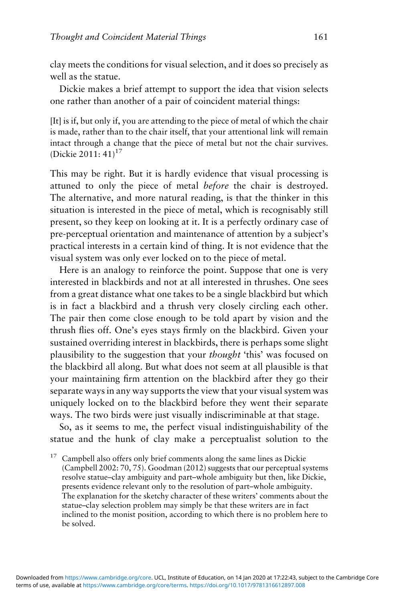clay meets the conditions for visual selection, and it does so precisely as well as the statue.

Dickie makes a brief attempt to support the idea that vision selects one rather than another of a pair of coincident material things:

[It] is if, but only if, you are attending to the piece of metal of which the chair is made, rather than to the chair itself, that your attentional link will remain intact through a change that the piece of metal but not the chair survives. (Dickie 2011:  $41$ )<sup>17</sup>

This may be right. But it is hardly evidence that visual processing is attuned to only the piece of metal before the chair is destroyed. The alternative, and more natural reading, is that the thinker in this situation is interested in the piece of metal, which is recognisably still present, so they keep on looking at it. It is a perfectly ordinary case of pre-perceptual orientation and maintenance of attention by a subject's practical interests in a certain kind of thing. It is not evidence that the visual system was only ever locked on to the piece of metal.

Here is an analogy to reinforce the point. Suppose that one is very interested in blackbirds and not at all interested in thrushes. One sees from a great distance what one takes to be a single blackbird but which is in fact a blackbird and a thrush very closely circling each other. The pair then come close enough to be told apart by vision and the thrush flies off. One's eyes stays firmly on the blackbird. Given your sustained overriding interest in blackbirds, there is perhaps some slight plausibility to the suggestion that your thought 'this' was focused on the blackbird all along. But what does not seem at all plausible is that your maintaining firm attention on the blackbird after they go their separate ways in any way supports the view that your visual system was uniquely locked on to the blackbird before they went their separate ways. The two birds were just visually indiscriminable at that stage.

So, as it seems to me, the perfect visual indistinguishability of the statue and the hunk of clay make a perceptualist solution to the

<sup>17</sup> Campbell also offers only brief comments along the same lines as Dickie (Campbell 2002: 70, 75). Goodman (2012) suggests that our perceptual systems resolve statue–clay ambiguity and part–whole ambiguity but then, like Dickie, presents evidence relevant only to the resolution of part–whole ambiguity. The explanation for the sketchy character of these writers' comments about the statue–clay selection problem may simply be that these writers are in fact inclined to the monist position, according to which there is no problem here to be solved.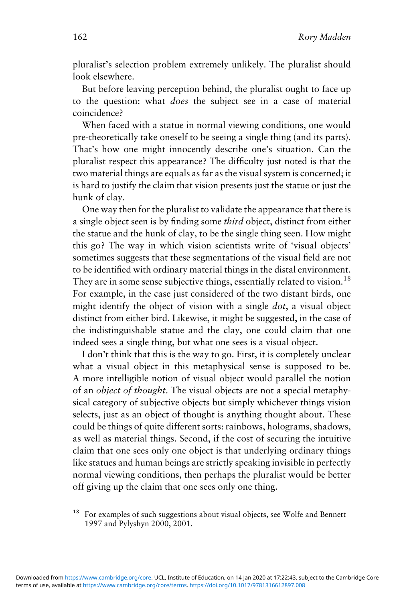pluralist's selection problem extremely unlikely. The pluralist should look elsewhere.

But before leaving perception behind, the pluralist ought to face up to the question: what does the subject see in a case of material coincidence?

When faced with a statue in normal viewing conditions, one would pre-theoretically take oneself to be seeing a single thing (and its parts). That's how one might innocently describe one's situation. Can the pluralist respect this appearance? The difficulty just noted is that the two material things are equals as far as the visual system is concerned; it is hard to justify the claim that vision presents just the statue or just the hunk of clay.

One way then for the pluralist to validate the appearance that there is a single object seen is by finding some third object, distinct from either the statue and the hunk of clay, to be the single thing seen. How might this go? The way in which vision scientists write of 'visual objects' sometimes suggests that these segmentations of the visual field are not to be identified with ordinary material things in the distal environment. They are in some sense subjective things, essentially related to vision.<sup>18</sup> For example, in the case just considered of the two distant birds, one might identify the object of vision with a single dot, a visual object distinct from either bird. Likewise, it might be suggested, in the case of the indistinguishable statue and the clay, one could claim that one indeed sees a single thing, but what one sees is a visual object.

I don't think that this is the way to go. First, it is completely unclear what a visual object in this metaphysical sense is supposed to be. A more intelligible notion of visual object would parallel the notion of an object of thought. The visual objects are not a special metaphysical category of subjective objects but simply whichever things vision selects, just as an object of thought is anything thought about. These could be things of quite different sorts: rainbows, holograms, shadows, as well as material things. Second, if the cost of securing the intuitive claim that one sees only one object is that underlying ordinary things like statues and human beings are strictly speaking invisible in perfectly normal viewing conditions, then perhaps the pluralist would be better off giving up the claim that one sees only one thing.

<sup>18</sup> For examples of such suggestions about visual objects, see Wolfe and Bennett 1997 and Pylyshyn 2000, 2001.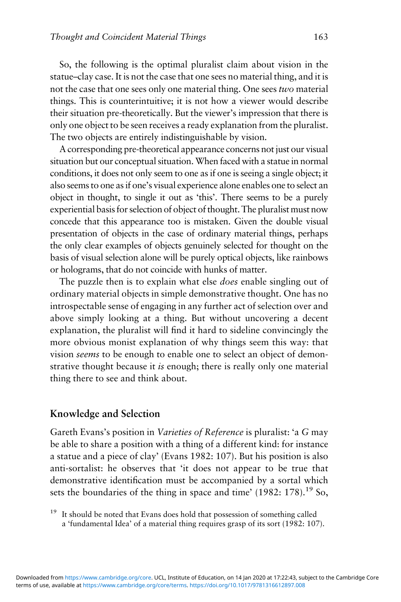So, the following is the optimal pluralist claim about vision in the statue–clay case. It is not the case that one sees no material thing, and it is not the case that one sees only one material thing. One sees two material things. This is counterintuitive; it is not how a viewer would describe their situation pre-theoretically. But the viewer's impression that there is only one object to be seen receives a ready explanation from the pluralist. The two objects are entirely indistinguishable by vision.

A corresponding pre-theoretical appearance concerns not just our visual situation but our conceptual situation.When faced with a statue in normal conditions, it does not only seem to one as if one is seeing a single object; it also seems to one as if one's visual experience alone enables one to select an object in thought, to single it out as 'this'. There seems to be a purely experiential basis for selection of object of thought. The pluralist must now concede that this appearance too is mistaken. Given the double visual presentation of objects in the case of ordinary material things, perhaps the only clear examples of objects genuinely selected for thought on the basis of visual selection alone will be purely optical objects, like rainbows or holograms, that do not coincide with hunks of matter.

The puzzle then is to explain what else *does* enable singling out of ordinary material objects in simple demonstrative thought. One has no introspectable sense of engaging in any further act of selection over and above simply looking at a thing. But without uncovering a decent explanation, the pluralist will find it hard to sideline convincingly the more obvious monist explanation of why things seem this way: that vision seems to be enough to enable one to select an object of demonstrative thought because it is enough; there is really only one material thing there to see and think about.

#### Knowledge and Selection

Gareth Evans's position in Varieties of Reference is pluralist: 'a G may be able to share a position with a thing of a different kind: for instance a statue and a piece of clay' (Evans 1982: 107). But his position is also anti-sortalist: he observes that 'it does not appear to be true that demonstrative identification must be accompanied by a sortal which sets the boundaries of the thing in space and time'  $(1982: 178).$ <sup>19</sup> So,

<sup>19</sup> It should be noted that Evans does hold that possession of something called a 'fundamental Idea' of a material thing requires grasp of its sort (1982: 107).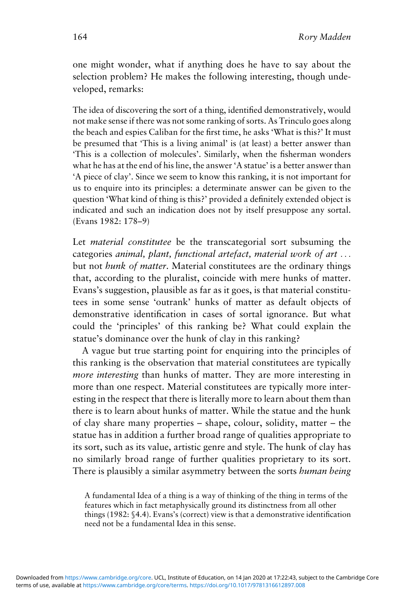one might wonder, what if anything does he have to say about the selection problem? He makes the following interesting, though undeveloped, remarks:

The idea of discovering the sort of a thing, identified demonstratively, would not make sense if there was not some ranking of sorts. As Trinculo goes along the beach and espies Caliban for the first time, he asks 'What is this?' It must be presumed that 'This is a living animal' is (at least) a better answer than 'This is a collection of molecules'. Similarly, when the fisherman wonders what he has at the end of his line, the answer'A statue' is a better answer than 'A piece of clay'. Since we seem to know this ranking, it is not important for us to enquire into its principles: a determinate answer can be given to the question 'What kind of thing is this?' provided a definitely extended object is indicated and such an indication does not by itself presuppose any sortal. (Evans 1982: 178–9)

Let *material constitutee* be the transcategorial sort subsuming the categories animal, plant, functional artefact, material work of art ... but not hunk of matter. Material constitutees are the ordinary things that, according to the pluralist, coincide with mere hunks of matter. Evans's suggestion, plausible as far as it goes, is that material constitutees in some sense 'outrank' hunks of matter as default objects of demonstrative identification in cases of sortal ignorance. But what could the 'principles' of this ranking be? What could explain the statue's dominance over the hunk of clay in this ranking?

A vague but true starting point for enquiring into the principles of this ranking is the observation that material constitutees are typically more interesting than hunks of matter. They are more interesting in more than one respect. Material constitutees are typically more interesting in the respect that there is literally more to learn about them than there is to learn about hunks of matter. While the statue and the hunk of clay share many properties – shape, colour, solidity, matter – the statue has in addition a further broad range of qualities appropriate to its sort, such as its value, artistic genre and style. The hunk of clay has no similarly broad range of further qualities proprietary to its sort. There is plausibly a similar asymmetry between the sorts *human being* 

A fundamental Idea of a thing is a way of thinking of the thing in terms of the features which in fact metaphysically ground its distinctness from all other things (1982: §4.4). Evans's (correct) view is that a demonstrative identification need not be a fundamental Idea in this sense.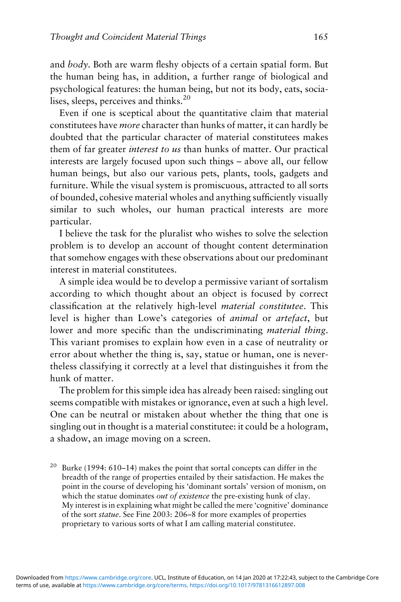and body. Both are warm fleshy objects of a certain spatial form. But the human being has, in addition, a further range of biological and psychological features: the human being, but not its body, eats, socialises, sleeps, perceives and thinks.<sup>20</sup>

Even if one is sceptical about the quantitative claim that material constitutees have more character than hunks of matter, it can hardly be doubted that the particular character of material constitutees makes them of far greater interest to us than hunks of matter. Our practical interests are largely focused upon such things – above all, our fellow human beings, but also our various pets, plants, tools, gadgets and furniture. While the visual system is promiscuous, attracted to all sorts of bounded, cohesive material wholes and anything sufficiently visually similar to such wholes, our human practical interests are more particular.

I believe the task for the pluralist who wishes to solve the selection problem is to develop an account of thought content determination that somehow engages with these observations about our predominant interest in material constitutees.

A simple idea would be to develop a permissive variant of sortalism according to which thought about an object is focused by correct classification at the relatively high-level material constitutee. This level is higher than Lowe's categories of animal or artefact, but lower and more specific than the undiscriminating *material thing*. This variant promises to explain how even in a case of neutrality or error about whether the thing is, say, statue or human, one is nevertheless classifying it correctly at a level that distinguishes it from the hunk of matter.

The problem for this simple idea has already been raised: singling out seems compatible with mistakes or ignorance, even at such a high level. One can be neutral or mistaken about whether the thing that one is singling out in thought is a material constitutee: it could be a hologram, a shadow, an image moving on a screen.

Burke (1994: 610–14) makes the point that sortal concepts can differ in the breadth of the range of properties entailed by their satisfaction. He makes the point in the course of developing his 'dominant sortals' version of monism, on which the statue dominates *out of existence* the pre-existing hunk of clay. My interest is in explaining what might be called the mere 'cognitive' dominance of the sort statue. See Fine 2003: 206–8 for more examples of properties proprietary to various sorts of what I am calling material constitutee.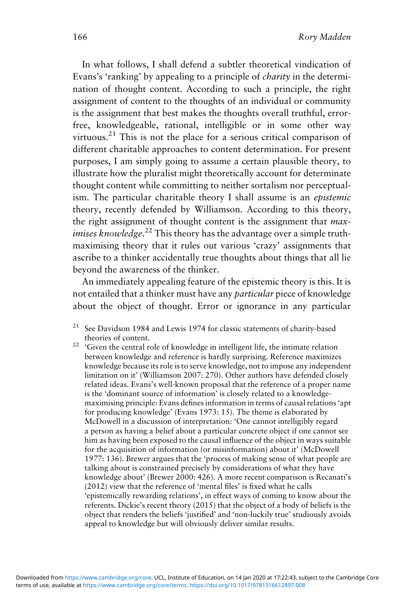In what follows, I shall defend a subtler theoretical vindication of Evans's 'ranking' by appealing to a principle of charity in the determination of thought content. According to such a principle, the right assignment of content to the thoughts of an individual or community is the assignment that best makes the thoughts overall truthful, errorfree, knowledgeable, rational, intelligible or in some other way virtuous.<sup>21</sup> This is not the place for a serious critical comparison of different charitable approaches to content determination. For present purposes, I am simply going to assume a certain plausible theory, to illustrate how the pluralist might theoretically account for determinate thought content while committing to neither sortalism nor perceptualism. The particular charitable theory I shall assume is an epistemic theory, recently defended by Williamson. According to this theory, the right assignment of thought content is the assignment that max*imises knowledge*.<sup>22</sup> This theory has the advantage over a simple truthmaximising theory that it rules out various 'crazy' assignments that ascribe to a thinker accidentally true thoughts about things that all lie beyond the awareness of the thinker.

An immediately appealing feature of the epistemic theory is this. It is not entailed that a thinker must have any particular piece of knowledge about the object of thought. Error or ignorance in any particular

- $21$  See Davidson 1984 and Lewis 1974 for classic statements of charity-based
- theories of content. <sup>22</sup> 'Given the central role of knowledge in intelligent life, the intimate relation between knowledge and reference is hardly surprising. Reference maximizes knowledge because its role is to serve knowledge, not to impose any independent limitation on it' (Williamson 2007: 270). Other authors have defended closely related ideas. Evans's well-known proposal that the reference of a proper name is the 'dominant source of information' is closely related to a knowledgemaximising principle: Evans defines information in terms of causal relations'apt for producing knowledge' (Evans 1973: 15). The theme is elaborated by McDowell in a discussion of interpretation: 'One cannot intelligibly regard a person as having a belief about a particular concrete object if one cannot see him as having been exposed to the causal influence of the object in ways suitable for the acquisition of information (or misinformation) about it' (McDowell 1977: 136). Brewer argues that the 'process of making sense of what people are talking about is constrained precisely by considerations of what they have knowledge about' (Brewer 2000: 426). A more recent comparison is Recanati's (2012) view that the reference of 'mental files' is fixed what he calls 'epistemically rewarding relations', in effect ways of coming to know about the referents. Dickie's recent theory (2015) that the object of a body of beliefs is the object that renders the beliefs 'justified' and 'non-luckily true' studiously avoids appeal to knowledge but will obviously deliver similar results.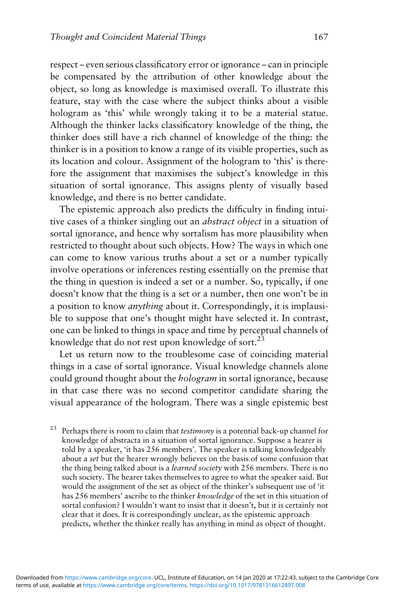respect – even serious classificatory error or ignorance – can in principle be compensated by the attribution of other knowledge about the object, so long as knowledge is maximised overall. To illustrate this feature, stay with the case where the subject thinks about a visible hologram as 'this' while wrongly taking it to be a material statue. Although the thinker lacks classificatory knowledge of the thing, the thinker does still have a rich channel of knowledge of the thing: the thinker is in a position to know a range of its visible properties, such as its location and colour. Assignment of the hologram to 'this' is therefore the assignment that maximises the subject's knowledge in this situation of sortal ignorance. This assigns plenty of visually based knowledge, and there is no better candidate.

The epistemic approach also predicts the difficulty in finding intuitive cases of a thinker singling out an abstract object in a situation of sortal ignorance, and hence why sortalism has more plausibility when restricted to thought about such objects. How? The ways in which one can come to know various truths about a set or a number typically involve operations or inferences resting essentially on the premise that the thing in question is indeed a set or a number. So, typically, if one doesn't know that the thing is a set or a number, then one won't be in a position to know anything about it. Correspondingly, it is implausible to suppose that one's thought might have selected it. In contrast, one can be linked to things in space and time by perceptual channels of knowledge that do not rest upon knowledge of sort. $^{23}$ 

Let us return now to the troublesome case of coinciding material things in a case of sortal ignorance. Visual knowledge channels alone could ground thought about the hologram in sortal ignorance, because in that case there was no second competitor candidate sharing the visual appearance of the hologram. There was a single epistemic best

<sup>23</sup> Perhaps there is room to claim that *testimony* is a potential back-up channel for knowledge of abstracta in a situation of sortal ignorance. Suppose a hearer is told by a speaker, 'it has 256 members'. The speaker is talking knowledgeably about a set but the hearer wrongly believes on the basis of some confusion that the thing being talked about is a learned society with 256 members. There is no such society. The hearer takes themselves to agree to what the speaker said. But would the assignment of the set as object of the thinker's subsequent use of 'it has 256 members' ascribe to the thinker knowledge of the set in this situation of sortal confusion? I wouldn't want to insist that it doesn't, but it is certainly not clear that it does. It is correspondingly unclear, as the epistemic approach predicts, whether the thinker really has anything in mind as object of thought.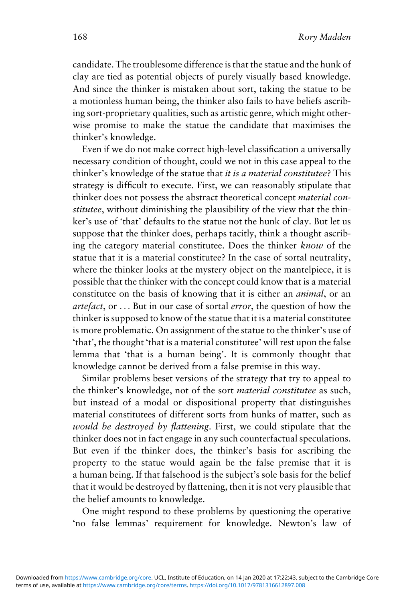candidate. The troublesome difference is that the statue and the hunk of clay are tied as potential objects of purely visually based knowledge. And since the thinker is mistaken about sort, taking the statue to be a motionless human being, the thinker also fails to have beliefs ascribing sort-proprietary qualities, such as artistic genre, which might otherwise promise to make the statue the candidate that maximises the thinker's knowledge.

Even if we do not make correct high-level classification a universally necessary condition of thought, could we not in this case appeal to the thinker's knowledge of the statue that it is a material constitutee? This strategy is difficult to execute. First, we can reasonably stipulate that thinker does not possess the abstract theoretical concept material constitutee, without diminishing the plausibility of the view that the thinker's use of 'that' defaults to the statue not the hunk of clay. But let us suppose that the thinker does, perhaps tacitly, think a thought ascribing the category material constitutee. Does the thinker know of the statue that it is a material constitutee? In the case of sortal neutrality, where the thinker looks at the mystery object on the mantelpiece, it is possible that the thinker with the concept could know that is a material constitutee on the basis of knowing that it is either an animal, or an artefact, or ... But in our case of sortal error, the question of how the thinker is supposed to know of the statue that it is a material constitutee is more problematic. On assignment of the statue to the thinker's use of 'that', the thought 'that is a material constitutee' will rest upon the false lemma that 'that is a human being'. It is commonly thought that knowledge cannot be derived from a false premise in this way.

Similar problems beset versions of the strategy that try to appeal to the thinker's knowledge, not of the sort material constitutee as such, but instead of a modal or dispositional property that distinguishes material constitutees of different sorts from hunks of matter, such as would be destroyed by flattening. First, we could stipulate that the thinker does not in fact engage in any such counterfactual speculations. But even if the thinker does, the thinker's basis for ascribing the property to the statue would again be the false premise that it is a human being. If that falsehood is the subject's sole basis for the belief that it would be destroyed by flattening, then it is not very plausible that the belief amounts to knowledge.

One might respond to these problems by questioning the operative 'no false lemmas' requirement for knowledge. Newton's law of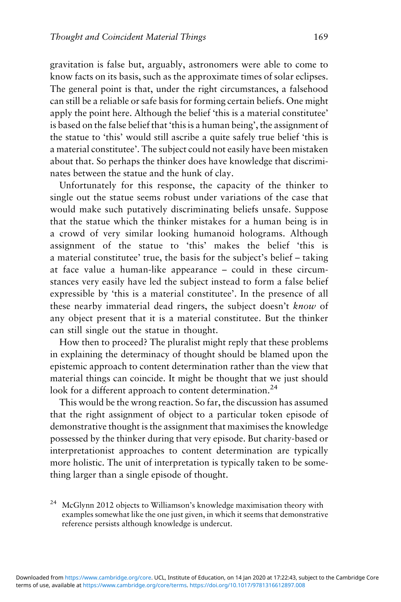gravitation is false but, arguably, astronomers were able to come to know facts on its basis, such as the approximate times of solar eclipses. The general point is that, under the right circumstances, a falsehood can still be a reliable or safe basis for forming certain beliefs. One might apply the point here. Although the belief 'this is a material constitutee' is based on the false belief that 'this is a human being', the assignment of the statue to 'this' would still ascribe a quite safely true belief 'this is a material constitutee'. The subject could not easily have been mistaken about that. So perhaps the thinker does have knowledge that discriminates between the statue and the hunk of clay.

Unfortunately for this response, the capacity of the thinker to single out the statue seems robust under variations of the case that would make such putatively discriminating beliefs unsafe. Suppose that the statue which the thinker mistakes for a human being is in a crowd of very similar looking humanoid holograms. Although assignment of the statue to 'this' makes the belief 'this is a material constitutee' true, the basis for the subject's belief – taking at face value a human-like appearance – could in these circumstances very easily have led the subject instead to form a false belief expressible by 'this is a material constitutee'. In the presence of all these nearby immaterial dead ringers, the subject doesn't know of any object present that it is a material constitutee. But the thinker can still single out the statue in thought.

How then to proceed? The pluralist might reply that these problems in explaining the determinacy of thought should be blamed upon the epistemic approach to content determination rather than the view that material things can coincide. It might be thought that we just should look for a different approach to content determination.<sup>24</sup>

This would be the wrong reaction. So far, the discussion has assumed that the right assignment of object to a particular token episode of demonstrative thought is the assignment that maximises the knowledge possessed by the thinker during that very episode. But charity-based or interpretationist approaches to content determination are typically more holistic. The unit of interpretation is typically taken to be something larger than a single episode of thought.

<sup>24</sup> McGlynn 2012 objects to Williamson's knowledge maximisation theory with examples somewhat like the one just given, in which it seems that demonstrative reference persists although knowledge is undercut.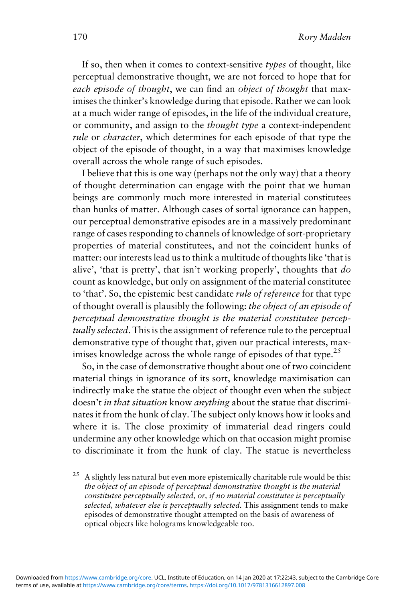If so, then when it comes to context-sensitive types of thought, like perceptual demonstrative thought, we are not forced to hope that for each episode of thought, we can find an object of thought that maximises the thinker's knowledge during that episode. Rather we can look at a much wider range of episodes, in the life of the individual creature, or community, and assign to the thought type a context-independent rule or character, which determines for each episode of that type the object of the episode of thought, in a way that maximises knowledge overall across the whole range of such episodes.

I believe that this is one way (perhaps not the only way) that a theory of thought determination can engage with the point that we human beings are commonly much more interested in material constitutees than hunks of matter. Although cases of sortal ignorance can happen, our perceptual demonstrative episodes are in a massively predominant range of cases responding to channels of knowledge of sort-proprietary properties of material constitutees, and not the coincident hunks of matter: our interests lead us to think a multitude of thoughts like 'that is alive', 'that is pretty', that isn't working properly', thoughts that do count as knowledge, but only on assignment of the material constitutee to 'that'. So, the epistemic best candidate rule of reference for that type of thought overall is plausibly the following: the object of an episode of perceptual demonstrative thought is the material constitutee perceptually selected. This is the assignment of reference rule to the perceptual demonstrative type of thought that, given our practical interests, maximises knowledge across the whole range of episodes of that type.<sup>25</sup>

So, in the case of demonstrative thought about one of two coincident material things in ignorance of its sort, knowledge maximisation can indirectly make the statue the object of thought even when the subject doesn't in that situation know anything about the statue that discriminates it from the hunk of clay. The subject only knows how it looks and where it is. The close proximity of immaterial dead ringers could undermine any other knowledge which on that occasion might promise to discriminate it from the hunk of clay. The statue is nevertheless

<sup>25</sup> A slightly less natural but even more epistemically charitable rule would be this: the object of an episode of perceptual demonstrative thought is the material constitutee perceptually selected, or, if no material constitutee is perceptually selected, whatever else is perceptually selected. This assignment tends to make episodes of demonstrative thought attempted on the basis of awareness of optical objects like holograms knowledgeable too.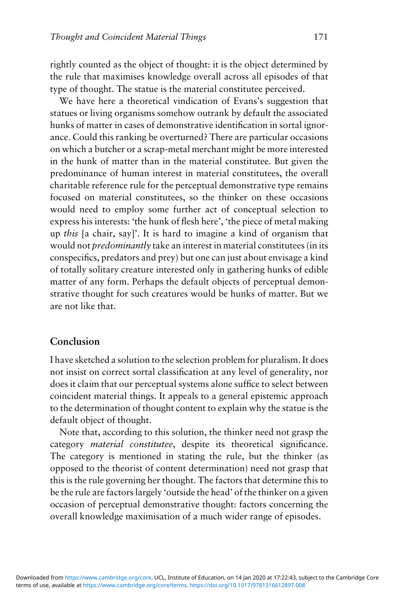rightly counted as the object of thought: it is the object determined by the rule that maximises knowledge overall across all episodes of that type of thought. The statue is the material constitutee perceived.

We have here a theoretical vindication of Evans's suggestion that statues or living organisms somehow outrank by default the associated hunks of matter in cases of demonstrative identification in sortal ignorance. Could this ranking be overturned? There are particular occasions on which a butcher or a scrap-metal merchant might be more interested in the hunk of matter than in the material constitutee. But given the predominance of human interest in material constitutees, the overall charitable reference rule for the perceptual demonstrative type remains focused on material constitutees, so the thinker on these occasions would need to employ some further act of conceptual selection to express his interests: 'the hunk of flesh here', 'the piece of metal making up this [a chair, say]'. It is hard to imagine a kind of organism that would not predominantly take an interest in material constitutees (in its conspecifics, predators and prey) but one can just about envisage a kind of totally solitary creature interested only in gathering hunks of edible matter of any form. Perhaps the default objects of perceptual demonstrative thought for such creatures would be hunks of matter. But we are not like that.

### Conclusion

I have sketched a solution to the selection problem for pluralism. It does not insist on correct sortal classification at any level of generality, nor does it claim that our perceptual systems alone suffice to select between coincident material things. It appeals to a general epistemic approach to the determination of thought content to explain why the statue is the default object of thought.

Note that, according to this solution, the thinker need not grasp the category material constitutee, despite its theoretical significance. The category is mentioned in stating the rule, but the thinker (as opposed to the theorist of content determination) need not grasp that this is the rule governing her thought. The factors that determine this to be the rule are factors largely 'outside the head' of the thinker on a given occasion of perceptual demonstrative thought: factors concerning the overall knowledge maximisation of a much wider range of episodes.